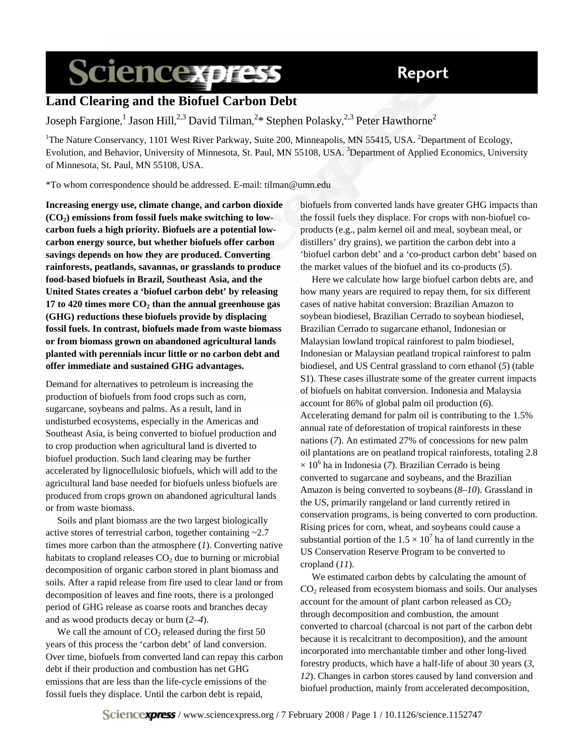## Report

# **Sciencexpress**

## **Land Clearing and the Biofuel Carbon Debt**

Joseph Fargione,<sup>1</sup> Jason Hill,<sup>2,3</sup> David Tilman,<sup>2</sup>\* Stephen Polasky,<sup>2,3</sup> Peter Hawthorne<sup>2</sup>

<sup>1</sup>The Nature Conservancy, 1101 West River Parkway, Suite 200, Minneapolis, MN 55415, USA. <sup>2</sup>Department of Ecology, Evolution, and Behavior, University of Minnesota, St. Paul, MN 55108, USA. <sup>3</sup>Department of Applied Economics, University of Minnesota, St. Paul, MN 55108, USA.

\*To whom correspondence should be addressed. E-mail: tilman@umn.edu

**Increasing energy use, climate change, and carbon dioxide (CO2) emissions from fossil fuels make switching to lowcarbon fuels a high priority. Biofuels are a potential lowcarbon energy source, but whether biofuels offer carbon savings depends on how they are produced. Converting rainforests, peatlands, savannas, or grasslands to produce food-based biofuels in Brazil, Southeast Asia, and the United States creates a 'biofuel carbon debt' by releasing**  17 to 420 times more  $CO<sub>2</sub>$  than the annual greenhouse gas **(GHG) reductions these biofuels provide by displacing fossil fuels. In contrast, biofuels made from waste biomass or from biomass grown on abandoned agricultural lands planted with perennials incur little or no carbon debt and offer immediate and sustained GHG advantages.** 

Demand for alternatives to petroleum is increasing the production of biofuels from food crops such as corn, sugarcane, soybeans and palms. As a result, land in undisturbed ecosystems, especially in the Americas and Southeast Asia, is being converted to biofuel production and to crop production when agricultural land is diverted to biofuel production. Such land clearing may be further accelerated by lignocellulosic biofuels, which will add to the agricultural land base needed for biofuels unless biofuels are produced from crops grown on abandoned agricultural lands or from waste biomass.

Soils and plant biomass are the two largest biologically active stores of terrestrial carbon, together containing ~2.7 times more carbon than the atmosphere (*1*). Converting native habitats to cropland releases  $CO<sub>2</sub>$  due to burning or microbial decomposition of organic carbon stored in plant biomass and soils. After a rapid release from fire used to clear land or from decomposition of leaves and fine roots, there is a prolonged period of GHG release as coarse roots and branches decay and as wood products decay or burn (*2–4*).

We call the amount of  $CO<sub>2</sub>$  released during the first 50 years of this process the 'carbon debt' of land conversion. Over time, biofuels from converted land can repay this carbon debt if their production and combustion has net GHG emissions that are less than the life-cycle emissions of the fossil fuels they displace. Until the carbon debt is repaid,

biofuels from converted lands have greater GHG impacts than the fossil fuels they displace. For crops with non-biofuel coproducts (e.g., palm kernel oil and meal, soybean meal, or distillers' dry grains), we partition the carbon debt into a 'biofuel carbon debt' and a 'co-product carbon debt' based on the market values of the biofuel and its co-products (*5*).

Here we calculate how large biofuel carbon debts are, and how many years are required to repay them, for six different cases of native habitat conversion: Brazilian Amazon to soybean biodiesel, Brazilian Cerrado to soybean biodiesel, Brazilian Cerrado to sugarcane ethanol, Indonesian or Malaysian lowland tropical rainforest to palm biodiesel, Indonesian or Malaysian peatland tropical rainforest to palm biodiesel, and US Central grassland to corn ethanol (*5*) (table S1). These cases illustrate some of the greater current impacts of biofuels on habitat conversion. Indonesia and Malaysia account for 86% of global palm oil production (*6*). Accelerating demand for palm oil is contributing to the 1.5% annual rate of deforestation of tropical rainforests in these nations (*7*). An estimated 27% of concessions for new palm oil plantations are on peatland tropical rainforests, totaling 2.8  $\times$  10<sup>6</sup> ha in Indonesia (7). Brazilian Cerrado is being converted to sugarcane and soybeans, and the Brazilian Amazon is being converted to soybeans (*8–10*). Grassland in the US, primarily rangeland or land currently retired in conservation programs, is being converted to corn production. Rising prices for corn, wheat, and soybeans could cause a substantial portion of the  $1.5 \times 10^7$  ha of land currently in the US Conservation Reserve Program to be converted to cropland (*11*).

We estimated carbon debts by calculating the amount of CO2 released from ecosystem biomass and soils. Our analyses account for the amount of plant carbon released as  $CO<sub>2</sub>$ through decomposition and combustion, the amount converted to charcoal (charcoal is not part of the carbon debt because it is recalcitrant to decomposition), and the amount incorporated into merchantable timber and other long-lived forestry products, which have a half-life of about 30 years (*3*, *12*). Changes in carbon stores caused by land conversion and biofuel production, mainly from accelerated decomposition,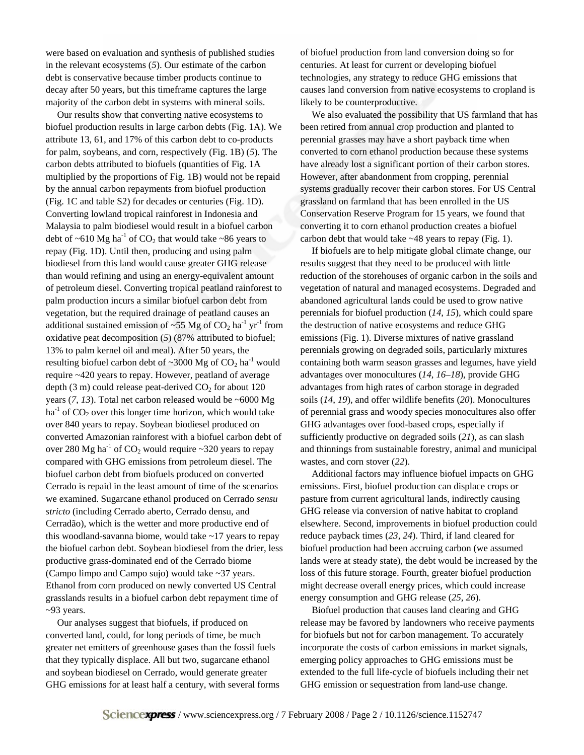were based on evaluation and synthesis of published studies in the relevant ecosystems (*5*). Our estimate of the carbon debt is conservative because timber products continue to decay after 50 years, but this timeframe captures the large majority of the carbon debt in systems with mineral soils.

Our results show that converting native ecosystems to biofuel production results in large carbon debts (Fig. 1A). We attribute 13, 61, and 17% of this carbon debt to co-products for palm, soybeans, and corn, respectively (Fig. 1B) (*5*). The carbon debts attributed to biofuels (quantities of Fig. 1A multiplied by the proportions of Fig. 1B) would not be repaid by the annual carbon repayments from biofuel production (Fig. 1C and table S2) for decades or centuries (Fig. 1D). Converting lowland tropical rainforest in Indonesia and Malaysia to palm biodiesel would result in a biofuel carbon debt of  $\sim 610 \text{ Mg} \text{ ha}^{-1}$  of CO<sub>2</sub> that would take  $\sim 86$  years to repay (Fig. 1D). Until then, producing and using palm biodiesel from this land would cause greater GHG release than would refining and using an energy-equivalent amount of petroleum diesel. Converting tropical peatland rainforest to palm production incurs a similar biofuel carbon debt from vegetation, but the required drainage of peatland causes an additional sustained emission of ~55 Mg of  $CO<sub>2</sub>$  ha<sup>-1</sup> yr<sup>-1</sup> from oxidative peat decomposition (*5*) (87% attributed to biofuel; 13% to palm kernel oil and meal). After 50 years, the resulting biofuel carbon debt of  $\sim$ 3000 Mg of CO<sub>2</sub> ha<sup>-1</sup> would require ~420 years to repay. However, peatland of average depth (3 m) could release peat-derived  $CO<sub>2</sub>$  for about 120 years  $(7, 13)$ . Total net carbon released would be ~6000 Mg  $ha<sup>-1</sup>$  of CO<sub>2</sub> over this longer time horizon, which would take over 840 years to repay. Soybean biodiesel produced on converted Amazonian rainforest with a biofuel carbon debt of over 280 Mg ha<sup>-1</sup> of CO<sub>2</sub> would require  $\sim$ 320 years to repay compared with GHG emissions from petroleum diesel. The biofuel carbon debt from biofuels produced on converted Cerrado is repaid in the least amount of time of the scenarios we examined. Sugarcane ethanol produced on Cerrado *sensu stricto* (including Cerrado aberto, Cerrado densu, and Cerradão), which is the wetter and more productive end of this woodland-savanna biome, would take  $\sim$ 17 years to repay the biofuel carbon debt. Soybean biodiesel from the drier, less productive grass-dominated end of the Cerrado biome (Campo limpo and Campo sujo) would take ~37 years. Ethanol from corn produced on newly converted US Central grasslands results in a biofuel carbon debt repayment time of ~93 years.

Our analyses suggest that biofuels, if produced on converted land, could, for long periods of time, be much greater net emitters of greenhouse gases than the fossil fuels that they typically displace. All but two, sugarcane ethanol and soybean biodiesel on Cerrado, would generate greater GHG emissions for at least half a century, with several forms of biofuel production from land conversion doing so for centuries. At least for current or developing biofuel technologies, any strategy to reduce GHG emissions that causes land conversion from native ecosystems to cropland is likely to be counterproductive.

We also evaluated the possibility that US farmland that has been retired from annual crop production and planted to perennial grasses may have a short payback time when converted to corn ethanol production because these systems have already lost a significant portion of their carbon stores. However, after abandonment from cropping, perennial systems gradually recover their carbon stores. For US Central grassland on farmland that has been enrolled in the US Conservation Reserve Program for 15 years, we found that converting it to corn ethanol production creates a biofuel carbon debt that would take ~48 years to repay (Fig. 1).

If biofuels are to help mitigate global climate change, our results suggest that they need to be produced with little reduction of the storehouses of organic carbon in the soils and vegetation of natural and managed ecosystems. Degraded and abandoned agricultural lands could be used to grow native perennials for biofuel production (*14*, *15*), which could spare the destruction of native ecosystems and reduce GHG emissions (Fig. 1). Diverse mixtures of native grassland perennials growing on degraded soils, particularly mixtures containing both warm season grasses and legumes, have yield advantages over monocultures (*14*, *16*–*18*), provide GHG advantages from high rates of carbon storage in degraded soils (*14*, *19*), and offer wildlife benefits (*20*). Monocultures of perennial grass and woody species monocultures also offer GHG advantages over food-based crops, especially if sufficiently productive on degraded soils (*21*), as can slash and thinnings from sustainable forestry, animal and municipal wastes, and corn stover (*22*).

Additional factors may influence biofuel impacts on GHG emissions. First, biofuel production can displace crops or pasture from current agricultural lands, indirectly causing GHG release via conversion of native habitat to cropland elsewhere. Second, improvements in biofuel production could reduce payback times (*23*, *24*). Third, if land cleared for biofuel production had been accruing carbon (we assumed lands were at steady state), the debt would be increased by the loss of this future storage. Fourth, greater biofuel production might decrease overall energy prices, which could increase energy consumption and GHG release (*25*, *26*).

Biofuel production that causes land clearing and GHG release may be favored by landowners who receive payments for biofuels but not for carbon management. To accurately incorporate the costs of carbon emissions in market signals, emerging policy approaches to GHG emissions must be extended to the full life-cycle of biofuels including their net GHG emission or sequestration from land-use change.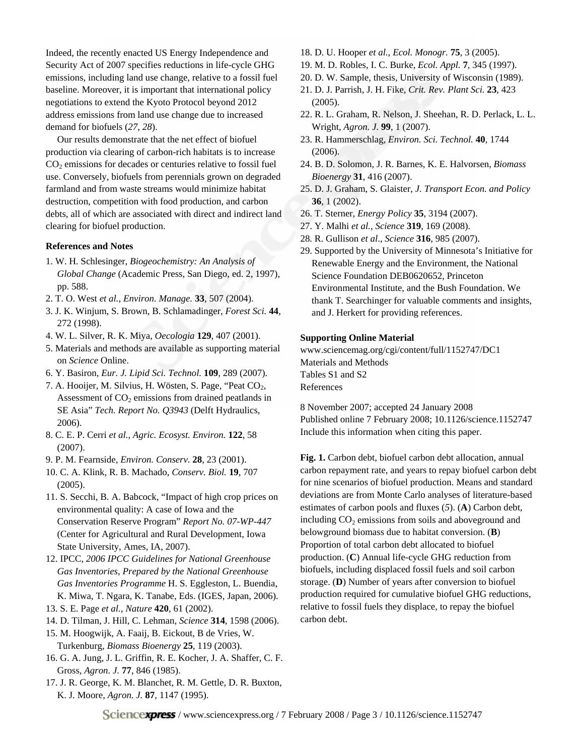Indeed, the recently enacted US Energy Independence and Security Act of 2007 specifies reductions in life-cycle GHG emissions, including land use change, relative to a fossil fuel baseline. Moreover, it is important that international policy negotiations to extend the Kyoto Protocol beyond 2012 address emissions from land use change due to increased demand for biofuels (*27*, *28*).

Our results demonstrate that the net effect of biofuel production via clearing of carbon-rich habitats is to increase  $CO<sub>2</sub>$  emissions for decades or centuries relative to fossil fuel use. Conversely, biofuels from perennials grown on degraded farmland and from waste streams would minimize habitat destruction, competition with food production, and carbon debts, all of which are associated with direct and indirect land clearing for biofuel production.

### **References and Notes**

- 1. W. H. Schlesinger, *Biogeochemistry: An Analysis of Global Change* (Academic Press, San Diego, ed. 2, 1997), pp. 588.
- 2. T. O. West *et al.*, *Environ. Manage.* **33**, 507 (2004).
- 3. J. K. Winjum, S. Brown, B. Schlamadinger, *Forest Sci.* **44**, 272 (1998).
- 4. W. L. Silver, R. K. Miya, *Oecologia* **129**, 407 (2001).
- 5. Materials and methods are available as supporting material on *Science* Online.
- 6. Y. Basiron, *Eur. J. Lipid Sci. Technol.* **109**, 289 (2007).
- 7. A. Hooijer, M. Silvius, H. Wösten, S. Page, "Peat CO<sub>2</sub>, Assessment of  $CO<sub>2</sub>$  emissions from drained peatlands in SE Asia" *Tech. Report No. Q3943* (Delft Hydraulics, 2006).
- 8. C. E. P. Cerri *et al.*, *Agric. Ecosyst. Environ.* **122**, 58 (2007).
- 9. P. M. Fearnside, *Environ. Conserv.* **28**, 23 (2001).
- 10. C. A. Klink, R. B. Machado, *Conserv. Biol.* **19**, 707 (2005).
- 11. S. Secchi, B. A. Babcock, "Impact of high crop prices on environmental quality: A case of Iowa and the Conservation Reserve Program" *Report No. 07-WP-447* (Center for Agricultural and Rural Development, Iowa State University, Ames, IA, 2007).
- 12. IPCC, *2006 IPCC Guidelines for National Greenhouse Gas Inventories, Prepared by the National Greenhouse Gas Inventories Programme* H. S. Eggleston, L. Buendia, K. Miwa, T. Ngara, K. Tanabe, Eds. (IGES, Japan, 2006).
- 13. S. E. Page *et al.*, *Nature* **420**, 61 (2002).
- 14. D. Tilman, J. Hill, C. Lehman, *Science* **314**, 1598 (2006).
- 15. M. Hoogwijk, A. Faaij, B. Eickout, B de Vries, W. Turkenburg, *Biomass Bioenergy* **25**, 119 (2003).
- 16. G. A. Jung, J. L. Griffin, R. E. Kocher, J. A. Shaffer, C. F. Gross, *Agron. J.* **77**, 846 (1985).
- 17. J. R. George, K. M. Blanchet, R. M. Gettle, D. R. Buxton, K. J. Moore, *Agron. J.* **87**, 1147 (1995).
- 18. D. U. Hooper *et al.*, *Ecol. Monogr.* **75**, 3 (2005).
- 19. M. D. Robles, I. C. Burke, *Ecol. Appl.* **7**, 345 (1997).
- 20. D. W. Sample, thesis, University of Wisconsin (1989).
- 21. D. J. Parrish, J. H. Fike, *Crit. Rev. Plant Sci.* **23**, 423 (2005).
- 22. R. L. Graham, R. Nelson, J. Sheehan, R. D. Perlack, L. L. Wright, *Agron. J.* **99**, 1 (2007).
- 23. R. Hammerschlag, *Environ. Sci. Technol.* **40**, 1744 (2006).
- 24. B. D. Solomon, J. R. Barnes, K. E. Halvorsen, *Biomass Bioenergy* **31**, 416 (2007).
- 25. D. J. Graham, S. Glaister, *J. Transport Econ. and Policy* **36**, 1 (2002).
- 26. T. Sterner, *Energy Policy* **35**, 3194 (2007).
- 27. Y. Malhi *et al.*, *Science* **319**, 169 (2008).
- 28. R. Gullison *et al*., *Science* **316**, 985 (2007).
- 29. Supported by the University of Minnesota's Initiative for Renewable Energy and the Environment, the National Science Foundation DEB0620652, Princeton Environmental Institute, and the Bush Foundation. We thank T. Searchinger for valuable comments and insights, and J. Herkert for providing references.

#### **Supporting Online Material**

www.sciencemag.org/cgi/content/full/1152747/DC1 Materials and Methods Tables S1 and S2 References

8 November 2007; accepted 24 January 2008 Published online 7 February 2008; 10.1126/science.1152747 Include this information when citing this paper.

**Fig. 1.** Carbon debt, biofuel carbon debt allocation, annual carbon repayment rate, and years to repay biofuel carbon debt for nine scenarios of biofuel production. Means and standard deviations are from Monte Carlo analyses of literature-based estimates of carbon pools and fluxes (*5*). (**A**) Carbon debt, including CO<sub>2</sub> emissions from soils and aboveground and belowground biomass due to habitat conversion. (**B**) Proportion of total carbon debt allocated to biofuel production. (**C**) Annual life-cycle GHG reduction from biofuels, including displaced fossil fuels and soil carbon storage. (**D**) Number of years after conversion to biofuel production required for cumulative biofuel GHG reductions, relative to fossil fuels they displace, to repay the biofuel carbon debt.